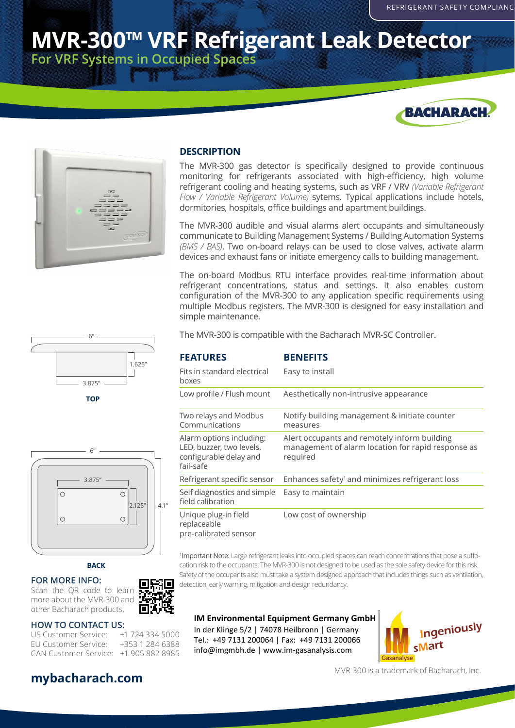# **MVR-300™ VRF Refrigerant Leak Detector For VRF Systems in Occupied Spaces**





#### **DESCRIPTION**

The MVR-300 gas detector is specifically designed to provide continuous monitoring for refrigerants associated with high-efficiency, high volume refrigerant cooling and heating systems, such as VRF / VRV *(Variable Refrigerant Flow / Variable Refrigerant Volume)* sytems. Typical applications include hotels, dormitories, hospitals, office buildings and apartment buildings.

The MVR-300 audible and visual alarms alert occupants and simultaneously communicate to Building Management Systems / Building Automation Systems *(BMS / BAS)*. Two on-board relays can be used to close valves, activate alarm devices and exhaust fans or initiate emergency calls to building management.

The on-board Modbus RTU interface provides real-time information about refrigerant concentrations, status and settings. It also enables custom configuration of the MVR-300 to any application specific requirements using multiple Modbus registers. The MVR-300 is designed for easy installation and simple maintenance.



| <b>FEATURES</b>                                                                             | <b>BENEFITS</b>                                                                                                |
|---------------------------------------------------------------------------------------------|----------------------------------------------------------------------------------------------------------------|
| Fits in standard electrical<br>boxes                                                        | Easy to install                                                                                                |
| Low profile / Flush mount                                                                   | Aesthetically non-intrusive appearance                                                                         |
| Two relays and Modbus<br>Communications                                                     | Notify building management & initiate counter<br>measures                                                      |
| Alarm options including:<br>LED, buzzer, two levels,<br>configurable delay and<br>fail-safe | Alert occupants and remotely inform building<br>management of alarm location for rapid response as<br>required |
| Refrigerant specific sensor                                                                 | Enhances safety <sup>1</sup> and minimizes refrigerant loss                                                    |
| Self diagnostics and simple<br>field calibration                                            | Easy to maintain                                                                                               |
| Unique plug-in field<br>replaceable<br>pre-calibrated sensor                                | Low cost of ownership                                                                                          |

1 Important Note: Large refrigerant leaks into occupied spaces can reach concentrations that pose a suffocation risk to the occupants. The MVR-300 is not designed to be used as the sole safety device for this risk. Safety of the occupants also must take a system designed approach that includes things such as ventilation, detection, early warning, mitigation and design redundancy.

### **IM Environmental Equipment Germany GmbH**

In der Klinge 5/2 | 74078 Heilbronn | Germany Tel.: +49 7131 200064 | Fax: +49 7131 200066 info@imgmbh.de | www.im-gasanalysis.com



MVR-300 is a trademark of Bacharach, Inc.



**TOP**



#### **BACK**

**FOR MORE INFO:**

回彩回 Scan the QR code to learn more about the MVR-300 and other Bacharach products.

#### **HOW TO CONTACT US:**

US Customer Service: +1 724 334 5000 EU Customer Service: +353 1 284 6388 CAN Customer Service: +1 905 882 8985

# **mybacharach.com**